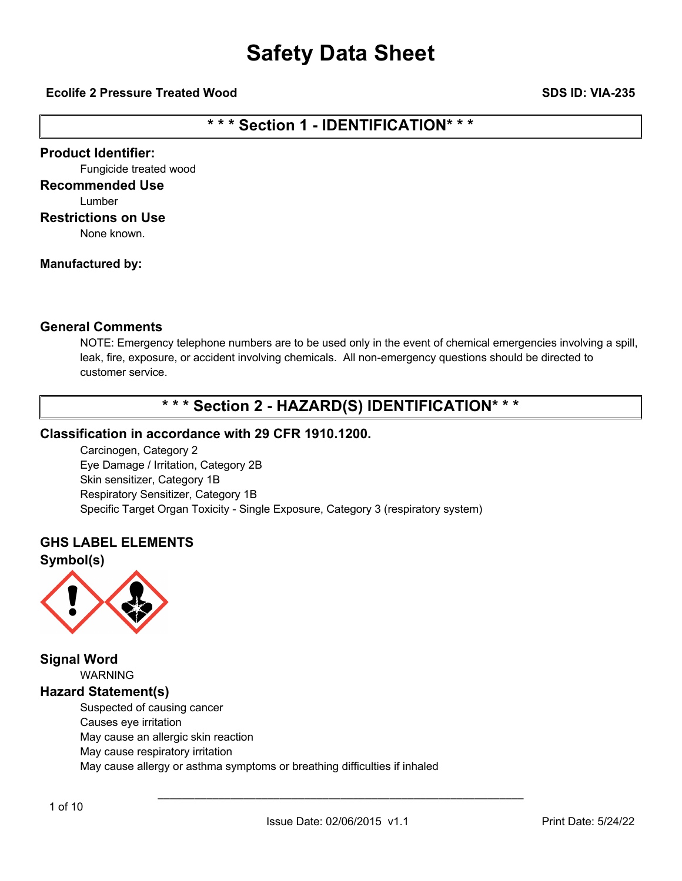### **Ecolife 2 Pressure Treated Wood SDS ID: VIA-235**

### **\* \* \* Section 1 - IDENTIFICATION\* \* \***

### **Product Identifier:**

Fungicide treated wood

### **Recommended Use**

Lumber

#### **Restrictions on Use**

None known.

### **Manufactured by:**

### **General Comments**

NOTE: Emergency telephone numbers are to be used only in the event of chemical emergencies involving a spill, leak, fire, exposure, or accident involving chemicals. All non-emergency questions should be directed to customer service.

### **\* \* \* Section 2 - HAZARD(S) IDENTIFICATION\* \* \***

### **Classification in accordance with 29 CFR 1910.1200.**

Carcinogen, Category 2 Eye Damage / Irritation, Category 2B Skin sensitizer, Category 1B Respiratory Sensitizer, Category 1B Specific Target Organ Toxicity - Single Exposure, Category 3 (respiratory system)

### **GHS LABEL ELEMENTS**

**Symbol(s)**



**Signal Word** WARNING **Hazard Statement(s)** Suspected of causing cancer Causes eye irritation May cause an allergic skin reaction May cause respiratory irritation May cause allergy or asthma symptoms or breathing difficulties if inhaled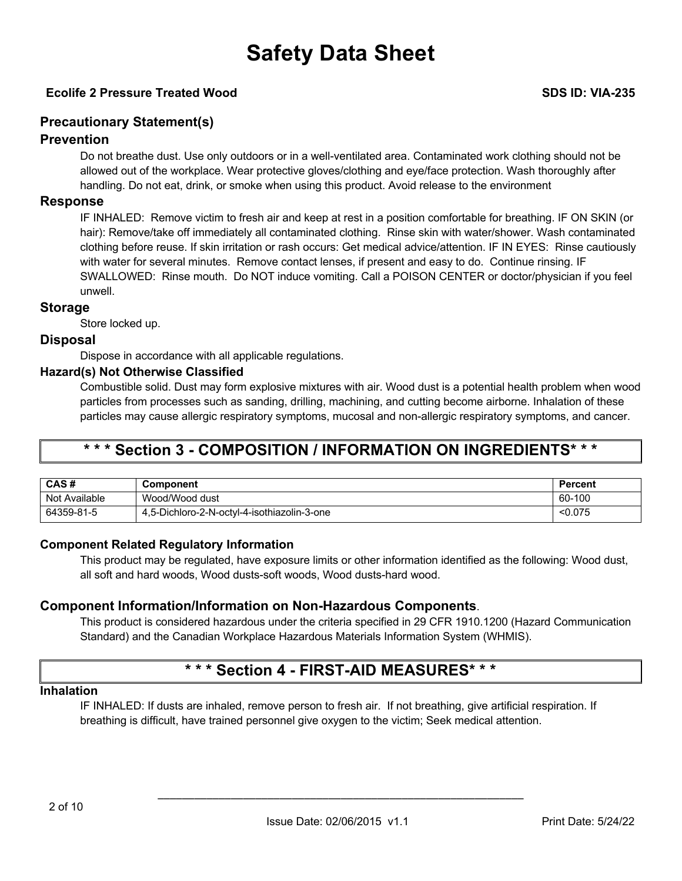### **Ecolife 2 Pressure Treated Wood SDS ID: VIA-235**

### **Precautionary Statement(s)**

### **Prevention**

Do not breathe dust. Use only outdoors or in a well-ventilated area. Contaminated work clothing should not be allowed out of the workplace. Wear protective gloves/clothing and eye/face protection. Wash thoroughly after handling. Do not eat, drink, or smoke when using this product. Avoid release to the environment

### **Response**

IF INHALED: Remove victim to fresh air and keep at rest in a position comfortable for breathing. IF ON SKIN (or hair): Remove/take off immediately all contaminated clothing. Rinse skin with water/shower. Wash contaminated clothing before reuse. If skin irritation or rash occurs: Get medical advice/attention. IF IN EYES: Rinse cautiously with water for several minutes. Remove contact lenses, if present and easy to do. Continue rinsing. IF SWALLOWED: Rinse mouth. Do NOT induce vomiting. Call a POISON CENTER or doctor/physician if you feel unwell.

### **Storage**

Store locked up.

### **Disposal**

Dispose in accordance with all applicable regulations.

### **Hazard(s) Not Otherwise Classified**

Combustible solid. Dust may form explosive mixtures with air. Wood dust is a potential health problem when wood particles from processes such as sanding, drilling, machining, and cutting become airborne. Inhalation of these particles may cause allergic respiratory symptoms, mucosal and non-allergic respiratory symptoms, and cancer.

### **\* \* \* Section 3 - COMPOSITION / INFORMATION ON INGREDIENTS\* \* \***

| CAS#          | <b>Component</b>                            | Percent |
|---------------|---------------------------------------------|---------|
| Not Available | Wood/Wood dust                              | 60-100  |
| 64359-81-5    | 4,5-Dichloro-2-N-octyl-4-isothiazolin-3-one | < 0.075 |

### **Component Related Regulatory Information**

This product may be regulated, have exposure limits or other information identified as the following: Wood dust, all soft and hard woods, Wood dusts-soft woods, Wood dusts-hard wood.

### **Component Information/Information on Non-Hazardous Components**.

This product is considered hazardous under the criteria specified in 29 CFR 1910.1200 (Hazard Communication Standard) and the Canadian Workplace Hazardous Materials Information System (WHMIS).

### **\* \* \* Section 4 - FIRST-AID MEASURES\* \* \***

### **Inhalation**

IF INHALED: If dusts are inhaled, remove person to fresh air. If not breathing, give artificial respiration. If breathing is difficult, have trained personnel give oxygen to the victim; Seek medical attention.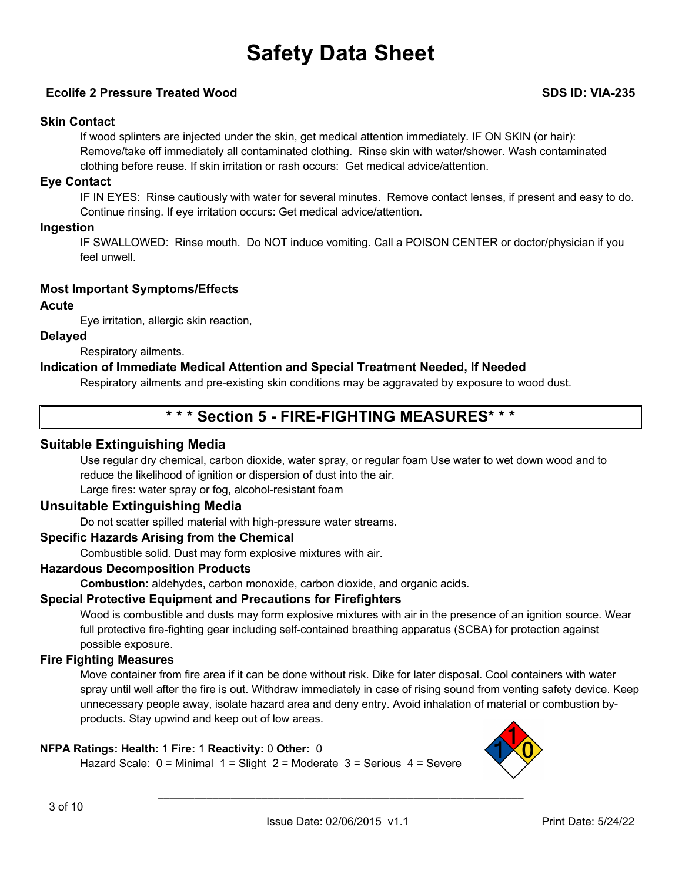### **Ecolife 2 Pressure Treated Wood SDS ID: VIA-235**

### **Skin Contact**

If wood splinters are injected under the skin, get medical attention immediately. IF ON SKIN (or hair): Remove/take off immediately all contaminated clothing. Rinse skin with water/shower. Wash contaminated clothing before reuse. If skin irritation or rash occurs: Get medical advice/attention.

### **Eye Contact**

IF IN EYES: Rinse cautiously with water for several minutes. Remove contact lenses, if present and easy to do. Continue rinsing. If eye irritation occurs: Get medical advice/attention.

### **Ingestion**

IF SWALLOWED: Rinse mouth. Do NOT induce vomiting. Call a POISON CENTER or doctor/physician if you feel unwell.

### **Most Important Symptoms/Effects**

### **Acute**

Eye irritation, allergic skin reaction,

### **Delayed**

Respiratory ailments.

### **Indication of Immediate Medical Attention and Special Treatment Needed, If Needed**

Respiratory ailments and pre-existing skin conditions may be aggravated by exposure to wood dust.

### **\* \* \* Section 5 - FIRE-FIGHTING MEASURES\* \* \***

### **Suitable Extinguishing Media**

Use regular dry chemical, carbon dioxide, water spray, or regular foam Use water to wet down wood and to reduce the likelihood of ignition or dispersion of dust into the air.

Large fires: water spray or fog, alcohol-resistant foam

### **Unsuitable Extinguishing Media**

Do not scatter spilled material with high-pressure water streams.

### **Specific Hazards Arising from the Chemical**

Combustible solid. Dust may form explosive mixtures with air.

### **Hazardous Decomposition Products**

**Combustion:** aldehydes, carbon monoxide, carbon dioxide, and organic acids.

### **Special Protective Equipment and Precautions for Firefighters**

Wood is combustible and dusts may form explosive mixtures with air in the presence of an ignition source. Wear full protective fire-fighting gear including self-contained breathing apparatus (SCBA) for protection against possible exposure.

### **Fire Fighting Measures**

Move container from fire area if it can be done without risk. Dike for later disposal. Cool containers with water spray until well after the fire is out. Withdraw immediately in case of rising sound from venting safety device. Keep unnecessary people away, isolate hazard area and deny entry. Avoid inhalation of material or combustion byproducts. Stay upwind and keep out of low areas.

### **NFPA Ratings: Health:** 1 **Fire:** 1 **Reactivity:** 0 **Other:** 0

Hazard Scale: 0 = Minimal 1 = Slight 2 = Moderate 3 = Serious 4 = Severe

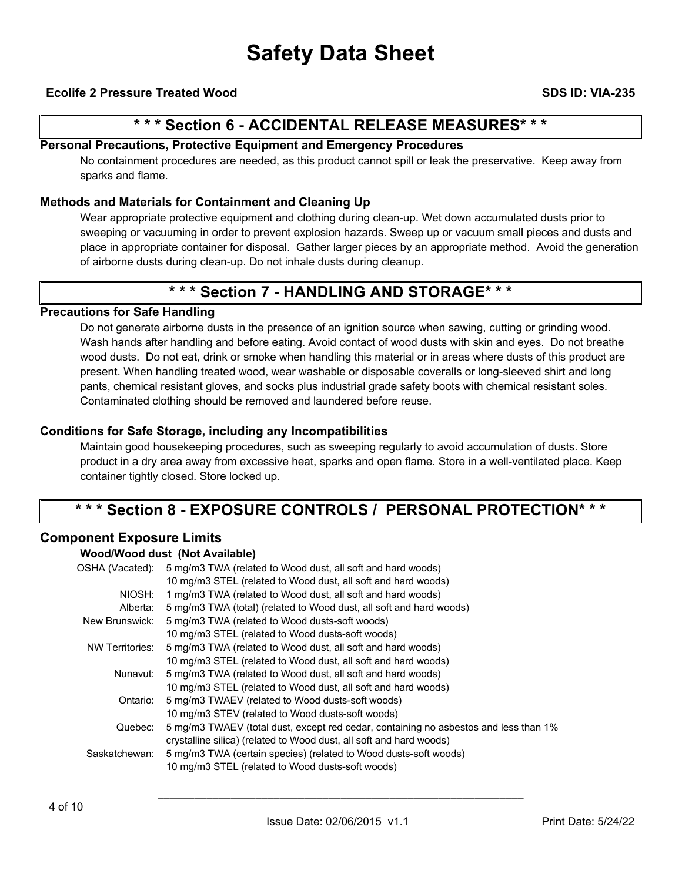### **Ecolife 2 Pressure Treated Wood SDS ID: VIA-235**

### **\* \* \* Section 6 - ACCIDENTAL RELEASE MEASURES\* \* \***

### **Personal Precautions, Protective Equipment and Emergency Procedures**

No containment procedures are needed, as this product cannot spill or leak the preservative. Keep away from sparks and flame.

### **Methods and Materials for Containment and Cleaning Up**

Wear appropriate protective equipment and clothing during clean-up. Wet down accumulated dusts prior to sweeping or vacuuming in order to prevent explosion hazards. Sweep up or vacuum small pieces and dusts and place in appropriate container for disposal. Gather larger pieces by an appropriate method. Avoid the generation of airborne dusts during clean-up. Do not inhale dusts during cleanup.

### **\* \* \* Section 7 - HANDLING AND STORAGE\* \* \***

### **Precautions for Safe Handling**

Do not generate airborne dusts in the presence of an ignition source when sawing, cutting or grinding wood. Wash hands after handling and before eating. Avoid contact of wood dusts with skin and eyes. Do not breathe wood dusts. Do not eat, drink or smoke when handling this material or in areas where dusts of this product are present. When handling treated wood, wear washable or disposable coveralls or long-sleeved shirt and long pants, chemical resistant gloves, and socks plus industrial grade safety boots with chemical resistant soles. Contaminated clothing should be removed and laundered before reuse.

### **Conditions for Safe Storage, including any Incompatibilities**

Maintain good housekeeping procedures, such as sweeping regularly to avoid accumulation of dusts. Store product in a dry area away from excessive heat, sparks and open flame. Store in a well-ventilated place. Keep container tightly closed. Store locked up.

### **\* \* \* Section 8 - EXPOSURE CONTROLS / PERSONAL PROTECTION\* \* \***

### **Component Exposure Limits**

#### **Wood/Wood dust (Not Available)**

| OSHA (Vacated):        | 5 mg/m3 TWA (related to Wood dust, all soft and hard woods)                          |
|------------------------|--------------------------------------------------------------------------------------|
|                        | 10 mg/m3 STEL (related to Wood dust, all soft and hard woods)                        |
| NIOSH:                 | 1 mg/m3 TWA (related to Wood dust, all soft and hard woods)                          |
| Alberta:               | 5 mg/m3 TWA (total) (related to Wood dust, all soft and hard woods)                  |
| New Brunswick:         | 5 mg/m3 TWA (related to Wood dusts-soft woods)                                       |
|                        | 10 mg/m3 STEL (related to Wood dusts-soft woods)                                     |
| <b>NW Territories:</b> | 5 mg/m3 TWA (related to Wood dust, all soft and hard woods)                          |
|                        | 10 mg/m3 STEL (related to Wood dust, all soft and hard woods)                        |
| Nunavut:               | 5 mg/m3 TWA (related to Wood dust, all soft and hard woods)                          |
|                        | 10 mg/m3 STEL (related to Wood dust, all soft and hard woods)                        |
| Ontario:               | 5 mg/m3 TWAEV (related to Wood dusts-soft woods)                                     |
|                        | 10 mg/m3 STEV (related to Wood dusts-soft woods)                                     |
| Quebec:                | 5 mg/m3 TWAEV (total dust, except red cedar, containing no asbestos and less than 1% |
|                        | crystalline silica) (related to Wood dust, all soft and hard woods)                  |
| Saskatchewan:          | 5 mg/m3 TWA (certain species) (related to Wood dusts-soft woods)                     |
|                        | 10 mg/m3 STEL (related to Wood dusts-soft woods)                                     |
|                        |                                                                                      |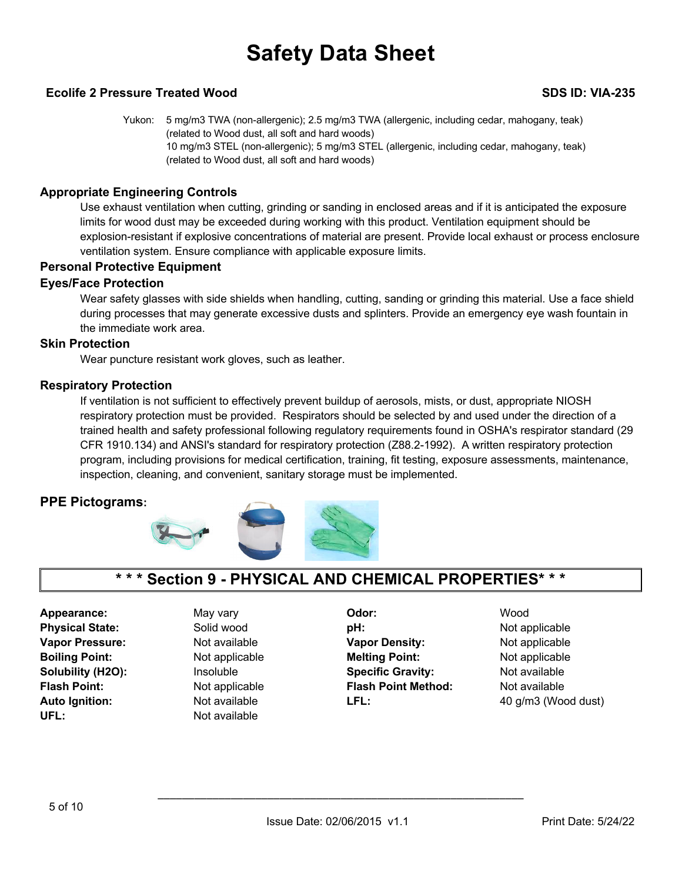### **Ecolife 2 Pressure Treated Wood SDS ID: VIA-235**

Yukon: 5 mg/m3 TWA (non-allergenic); 2.5 mg/m3 TWA (allergenic, including cedar, mahogany, teak) (related to Wood dust, all soft and hard woods) 10 mg/m3 STEL (non-allergenic); 5 mg/m3 STEL (allergenic, including cedar, mahogany, teak) (related to Wood dust, all soft and hard woods)

### **Appropriate Engineering Controls**

Use exhaust ventilation when cutting, grinding or sanding in enclosed areas and if it is anticipated the exposure limits for wood dust may be exceeded during working with this product. Ventilation equipment should be explosion-resistant if explosive concentrations of material are present. Provide local exhaust or process enclosure ventilation system. Ensure compliance with applicable exposure limits.

### **Personal Protective Equipment**

### **Eyes/Face Protection**

Wear safety glasses with side shields when handling, cutting, sanding or grinding this material. Use a face shield during processes that may generate excessive dusts and splinters. Provide an emergency eye wash fountain in the immediate work area.

### **Skin Protection**

Wear puncture resistant work gloves, such as leather.

### **Respiratory Protection**

If ventilation is not sufficient to effectively prevent buildup of aerosols, mists, or dust, appropriate NIOSH respiratory protection must be provided. Respirators should be selected by and used under the direction of a trained health and safety professional following regulatory requirements found in OSHA's respirator standard (29 CFR 1910.134) and ANSI's standard for respiratory protection (Z88.2-1992). A written respiratory protection program, including provisions for medical certification, training, fit testing, exposure assessments, maintenance, inspection, cleaning, and convenient, sanitary storage must be implemented.

### **PPE Pictograms:**



### **\* \* \* Section 9 - PHYSICAL AND CHEMICAL PROPERTIES\* \* \***

UFL: Not available

**Appearance:** May vary **Odor:** Wood **Physical State: Solid wood pH: Physical State: Not applicable Vapor Pressure: Not available <b>Vapor Density:** Not applicable **Vapor Density:** Not applicable **Boiling Point:** Not applicable **Melting Point:** Not applicable **Solubility (H2O):** Insoluble **Specific Gravity:** Not available **Flash Point:** Not applicable **Flash Point Method:** Not available **Auto Ignition:** Not available **LFL:** 40 g/m3 (Wood dust)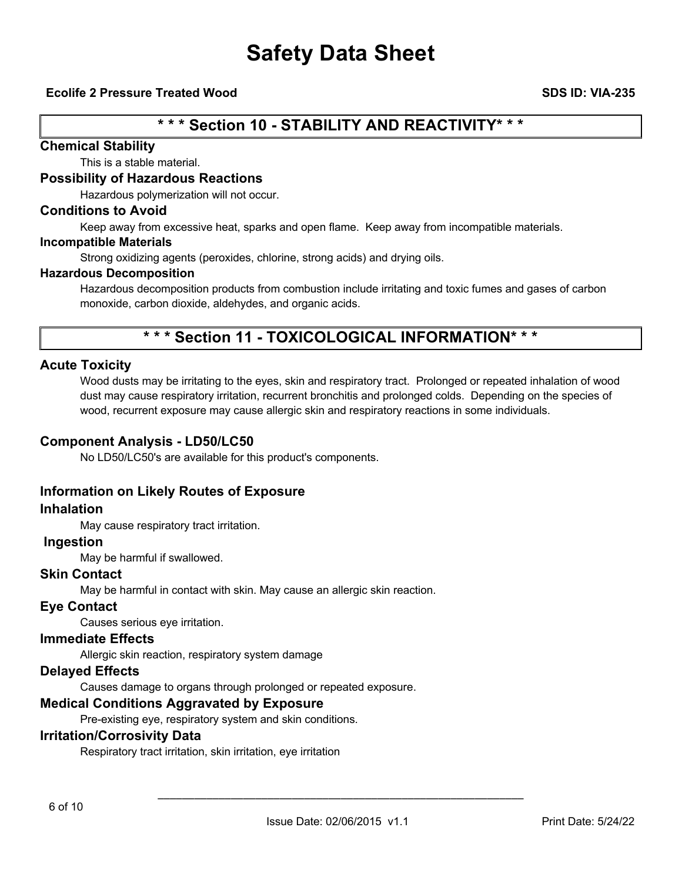### **Ecolife 2 Pressure Treated Wood SDS ID: VIA-235**

## **\* \* \* Section 10 - STABILITY AND REACTIVITY\* \* \***

### **Chemical Stability**

This is a stable material.

### **Possibility of Hazardous Reactions**

Hazardous polymerization will not occur.

### **Conditions to Avoid**

Keep away from excessive heat, sparks and open flame. Keep away from incompatible materials.

#### **Incompatible Materials**

Strong oxidizing agents (peroxides, chlorine, strong acids) and drying oils.

#### **Hazardous Decomposition**

Hazardous decomposition products from combustion include irritating and toxic fumes and gases of carbon monoxide, carbon dioxide, aldehydes, and organic acids.

## **\* \* \* Section 11 - TOXICOLOGICAL INFORMATION\* \* \***

### **Acute Toxicity**

Wood dusts may be irritating to the eyes, skin and respiratory tract. Prolonged or repeated inhalation of wood dust may cause respiratory irritation, recurrent bronchitis and prolonged colds. Depending on the species of wood, recurrent exposure may cause allergic skin and respiratory reactions in some individuals.

#### **Component Analysis - LD50/LC50**

No LD50/LC50's are available for this product's components.

### **Information on Likely Routes of Exposure**

#### **Inhalation**

May cause respiratory tract irritation.

### **Ingestion**

May be harmful if swallowed.

### **Skin Contact**

May be harmful in contact with skin. May cause an allergic skin reaction.

### **Eye Contact**

Causes serious eye irritation.

### **Immediate Effects**

Allergic skin reaction, respiratory system damage

### **Delayed Effects**

Causes damage to organs through prolonged or repeated exposure.

### **Medical Conditions Aggravated by Exposure**

Pre-existing eye, respiratory system and skin conditions.

### **Irritation/Corrosivity Data**

Respiratory tract irritation, skin irritation, eye irritation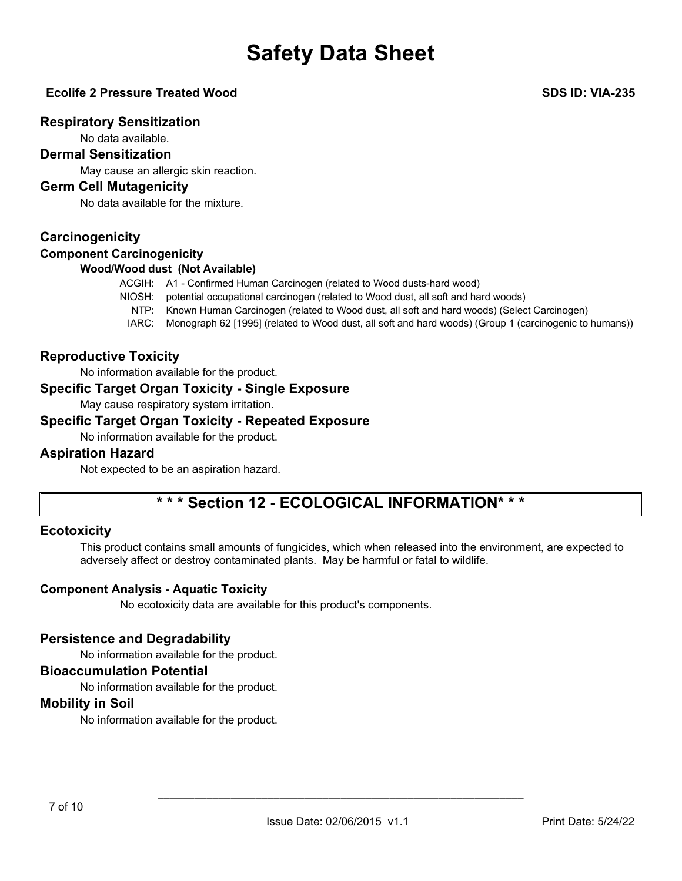### **Ecolife 2 Pressure Treated Wood SDS ID: VIA-235**

### **Respiratory Sensitization**

No data available.

### **Dermal Sensitization**

May cause an allergic skin reaction.

### **Germ Cell Mutagenicity**

No data available for the mixture.

### **Carcinogenicity**

### **Component Carcinogenicity**

### **Wood/Wood dust (Not Available)**

ACGIH: A1 - Confirmed Human Carcinogen (related to Wood dusts-hard wood)

- NIOSH: potential occupational carcinogen (related to Wood dust, all soft and hard woods)
	- NTP: Known Human Carcinogen (related to Wood dust, all soft and hard woods) (Select Carcinogen)
	- IARC: Monograph 62 [1995] (related to Wood dust, all soft and hard woods) (Group 1 (carcinogenic to humans))

### **Reproductive Toxicity**

No information available for the product.

### **Specific Target Organ Toxicity - Single Exposure**

May cause respiratory system irritation.

### **Specific Target Organ Toxicity - Repeated Exposure**

No information available for the product.

### **Aspiration Hazard**

Not expected to be an aspiration hazard.

## **\* \* \* Section 12 - ECOLOGICAL INFORMATION\* \* \***

### **Ecotoxicity**

This product contains small amounts of fungicides, which when released into the environment, are expected to adversely affect or destroy contaminated plants. May be harmful or fatal to wildlife.

### **Component Analysis - Aquatic Toxicity**

No ecotoxicity data are available for this product's components.

### **Persistence and Degradability**

No information available for the product.

### **Bioaccumulation Potential**

No information available for the product.

### **Mobility in Soil**

No information available for the product.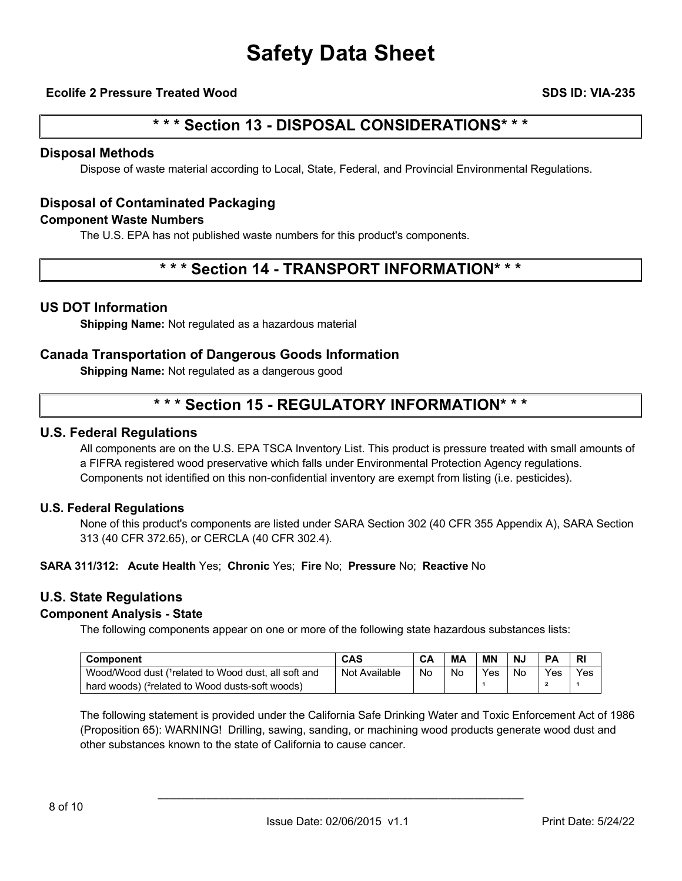### **Ecolife 2 Pressure Treated Wood SDS ID: VIA-235**

### **\* \* \* Section 13 - DISPOSAL CONSIDERATIONS\* \* \***

### **Disposal Methods**

Dispose of waste material according to Local, State, Federal, and Provincial Environmental Regulations.

### **Disposal of Contaminated Packaging**

### **Component Waste Numbers**

The U.S. EPA has not published waste numbers for this product's components.

### **\* \* \* Section 14 - TRANSPORT INFORMATION\* \* \***

### **US DOT Information**

**Shipping Name:** Not regulated as a hazardous material

### **Canada Transportation of Dangerous Goods Information**

**Shipping Name:** Not regulated as a dangerous good

### **\* \* \* Section 15 - REGULATORY INFORMATION\* \* \***

### **U.S. Federal Regulations**

All components are on the U.S. EPA TSCA Inventory List. This product is pressure treated with small amounts of a FIFRA registered wood preservative which falls under Environmental Protection Agency regulations. Components not identified on this non-confidential inventory are exempt from listing (i.e. pesticides).

#### **U.S. Federal Regulations**

None of this product's components are listed under SARA Section 302 (40 CFR 355 Appendix A), SARA Section 313 (40 CFR 372.65), or CERCLA (40 CFR 302.4).

#### **SARA 311/312: Acute Health** Yes; **Chronic** Yes; **Fire** No; **Pressure** No; **Reactive** No

### **U.S. State Regulations**

### **Component Analysis - State**

The following components appear on one or more of the following state hazardous substances lists:

| <b>Component</b>                                             | CAS           | CA | MА | <b>MN</b> | <b>N.</b> | <b>DA</b> | RI  |
|--------------------------------------------------------------|---------------|----|----|-----------|-----------|-----------|-----|
| Wood/Wood dust (1 related to Wood dust, all soft and         | Not Available | No | No | Yes       | No        | Yes       | Yes |
| hard woods) ( <sup>2</sup> related to Wood dusts-soft woods) |               |    |    |           |           |           |     |

The following statement is provided under the California Safe Drinking Water and Toxic Enforcement Act of 1986 (Proposition 65): WARNING! Drilling, sawing, sanding, or machining wood products generate wood dust and other substances known to the state of California to cause cancer.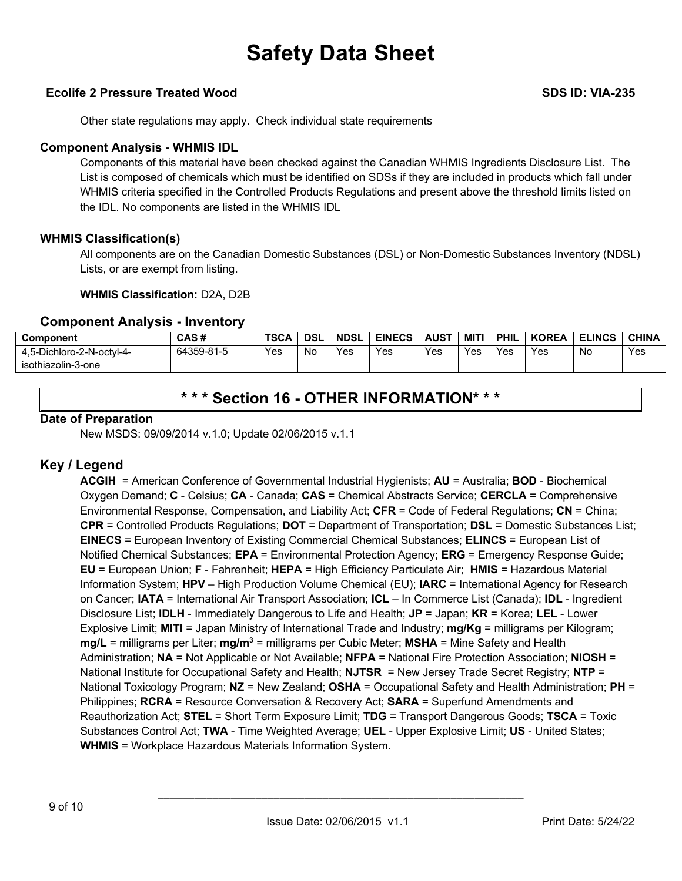### **Ecolife 2 Pressure Treated Wood SDS ID: VIA-235**

Other state regulations may apply. Check individual state requirements

### **Component Analysis - WHMIS IDL**

Components of this material have been checked against the Canadian WHMIS Ingredients Disclosure List. The List is composed of chemicals which must be identified on SDSs if they are included in products which fall under WHMIS criteria specified in the Controlled Products Regulations and present above the threshold limits listed on the IDL. No components are listed in the WHMIS IDL

### **WHMIS Classification(s)**

All components are on the Canadian Domestic Substances (DSL) or Non-Domestic Substances Inventory (NDSL) Lists, or are exempt from listing.

### **WHMIS Classification:** D2A, D2B

### **Component Analysis - Inventory**

| Component                 | CAS#       | <b>TSCA</b> | <b>DSL</b> | <b>NDSL</b> | <b>EINECS</b> | <b>AUST</b> | MITI | PHIL | <b>KOREA</b> | <b>ELINCS</b> | <b>CHINA</b> |
|---------------------------|------------|-------------|------------|-------------|---------------|-------------|------|------|--------------|---------------|--------------|
| 4.5-Dichloro-2-N-octvl-4- | 64359-81-5 | Yes         | No         | Yes         | Yes           | Yes         | Yes  | Yes  | Yes          | No            | Yes          |
| isothiazolin-3-one        |            |             |            |             |               |             |      |      |              |               |              |

### **\* \* \* Section 16 - OTHER INFORMATION\* \* \***

### **Date of Preparation**

New MSDS: 09/09/2014 v.1.0; Update 02/06/2015 v.1.1

### **Key / Legend**

**ACGIH** = American Conference of Governmental Industrial Hygienists; **AU** = Australia; **BOD** - Biochemical Oxygen Demand; **C** - Celsius; **CA** - Canada; **CAS** = Chemical Abstracts Service; **CERCLA** = Comprehensive Environmental Response, Compensation, and Liability Act; **CFR** = Code of Federal Regulations; **CN** = China; **CPR** = Controlled Products Regulations; **DOT** = Department of Transportation; **DSL** = Domestic Substances List; **EINECS** = European Inventory of Existing Commercial Chemical Substances; **ELINCS** = European List of Notified Chemical Substances; **EPA** = Environmental Protection Agency; **ERG** = Emergency Response Guide; **EU** = European Union; **F** - Fahrenheit; **HEPA** = High Efficiency Particulate Air; **HMIS** = Hazardous Material Information System; **HPV** – High Production Volume Chemical (EU); **IARC** = International Agency for Research on Cancer; **IATA** = International Air Transport Association; **ICL** – In Commerce List (Canada); **IDL** - Ingredient Disclosure List; **IDLH** - Immediately Dangerous to Life and Health; **JP** = Japan; **KR** = Korea; **LEL** - Lower Explosive Limit; **MITI** = Japan Ministry of International Trade and Industry; **mg/Kg** = milligrams per Kilogram; **mg/L** = milligrams per Liter; **mg/m3** = milligrams per Cubic Meter; **MSHA** = Mine Safety and Health Administration; **NA** = Not Applicable or Not Available; **NFPA** = National Fire Protection Association; **NIOSH** = National Institute for Occupational Safety and Health; **NJTSR** = New Jersey Trade Secret Registry; **NTP** = National Toxicology Program; **NZ** = New Zealand; **OSHA** = Occupational Safety and Health Administration; **PH** = Philippines; **RCRA** = Resource Conversation & Recovery Act; **SARA** = Superfund Amendments and Reauthorization Act; **STEL** = Short Term Exposure Limit; **TDG** = Transport Dangerous Goods; **TSCA** = Toxic Substances Control Act; **TWA** - Time Weighted Average; **UEL** - Upper Explosive Limit; **US** - United States; **WHMIS** = Workplace Hazardous Materials Information System.